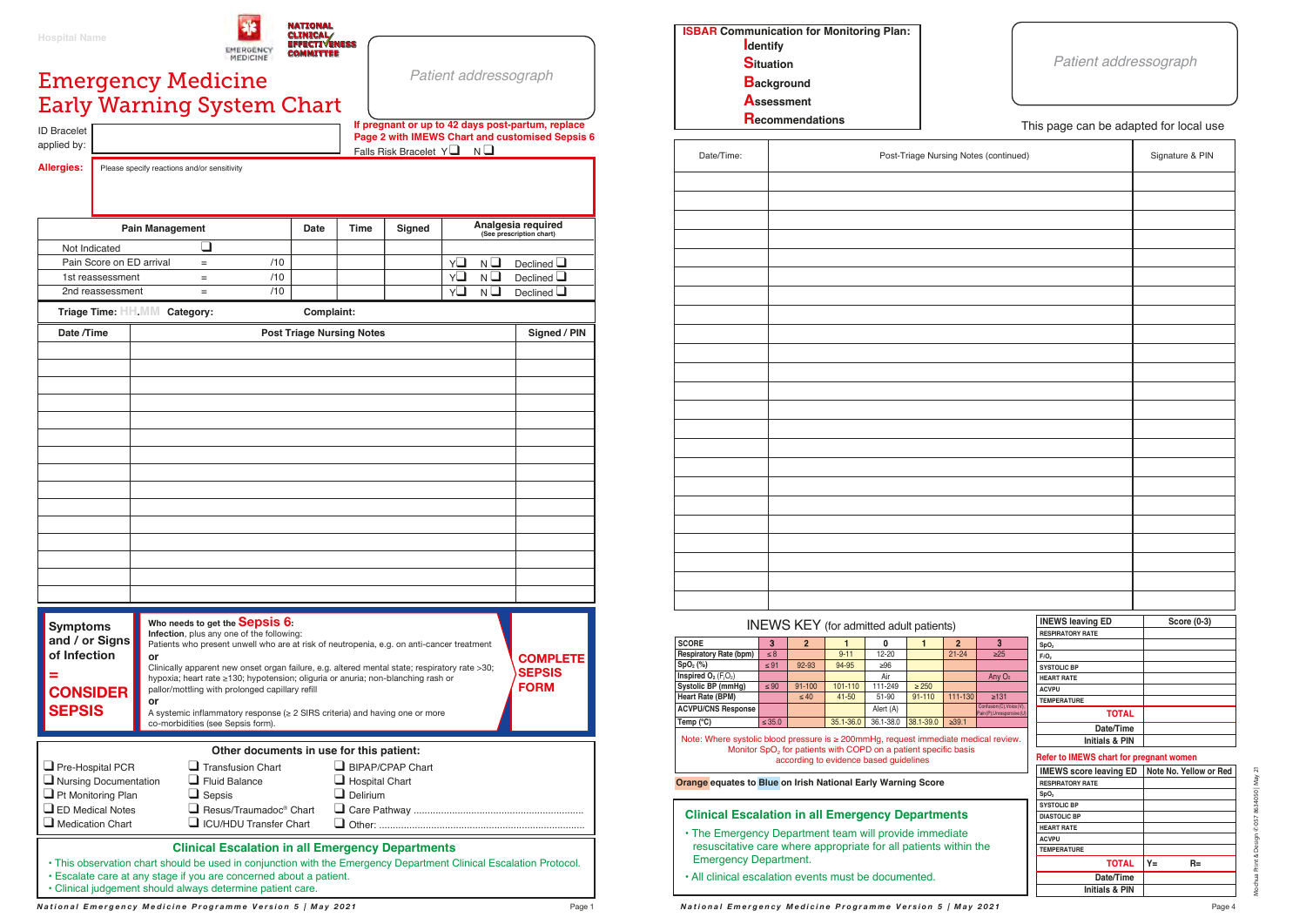| <b>ISBAR Communication for Monitoring Plan:</b><br><b>I</b> dentify |
|---------------------------------------------------------------------|
| <b>Situation</b>                                                    |
| <b>Background</b>                                                   |
| <b>Assessment</b>                                                   |
| <b>Recommendations</b>                                              |

| Date/Time: | Post-Triage Nursing Notes (continued) |
|------------|---------------------------------------|
|            |                                       |
|            |                                       |
|            |                                       |
|            |                                       |
|            |                                       |
|            |                                       |
|            |                                       |
|            |                                       |
|            |                                       |
|            |                                       |
|            |                                       |
|            |                                       |
|            |                                       |
|            |                                       |
|            |                                       |
|            |                                       |
|            |                                       |
|            |                                       |
|            |                                       |
|            |                                       |
|            |                                       |
|            |                                       |
|            |                                       |

## *Patient addressograph*

## This page can be adapted for local use

## INEWS KEY (for admitted adult patients)

 **Orange equates to Blue on Irish National Early Warning Score**

Note: Where systolic blood pressure is ≥ 200mmHg, request immediate medical Monitor  $SpO<sub>2</sub>$  for patients with COPD on a patient specific basis according to evidence based guidelines

| <b>SCORE</b>                                  | 3           | $\overline{2}$ |           |           |            | 2           | o                                                     |
|-----------------------------------------------|-------------|----------------|-----------|-----------|------------|-------------|-------------------------------------------------------|
| <b>Respiratory Rate (bpm)</b>                 | $\leq 8$    |                | $9 - 11$  | 12-20     |            | $21 - 24$   | $\geq 25$                                             |
| SpO <sub>2</sub> (%)                          | $\leq 91$   | 92-93          | 94-95     | $\geq 96$ |            |             |                                                       |
| <b>Inspired <math>O_2</math></b> ( $F_1O_2$ ) |             |                |           | Air       |            |             | Any $O2$                                              |
| <b>Systolic BP (mmHq)</b>                     | $\leq 90$   | $91 - 100$     | 101-110   | 111-249   | $\geq$ 250 |             |                                                       |
| <b>Heart Rate (BPM)</b>                       |             | $\leq 40$      | $41 - 50$ | 51-90     | $91 - 110$ | 111-130     | $\geq 131$                                            |
| <b>ACVPU/CNS Response</b>                     |             |                |           | Alert (A) |            |             | Confusion (C), Voice (V).<br>Pain(P), Unresponsive (U |
| Temp $(^{\circ}C)$                            | $\leq 35.0$ |                | 35.1-36.0 | 36.1-38.0 | 38.1-39.0  | $\geq 39.1$ |                                                       |

| es (continued)                                          |                                                    | Signature & PIN        |
|---------------------------------------------------------|----------------------------------------------------|------------------------|
|                                                         |                                                    |                        |
|                                                         |                                                    |                        |
|                                                         |                                                    |                        |
|                                                         |                                                    |                        |
|                                                         |                                                    |                        |
|                                                         |                                                    |                        |
|                                                         |                                                    |                        |
|                                                         |                                                    |                        |
|                                                         |                                                    |                        |
|                                                         |                                                    |                        |
|                                                         |                                                    |                        |
|                                                         |                                                    |                        |
|                                                         |                                                    |                        |
|                                                         |                                                    |                        |
|                                                         |                                                    |                        |
|                                                         |                                                    |                        |
|                                                         |                                                    |                        |
|                                                         |                                                    |                        |
|                                                         |                                                    |                        |
|                                                         |                                                    |                        |
|                                                         |                                                    |                        |
|                                                         |                                                    |                        |
|                                                         |                                                    |                        |
|                                                         |                                                    |                        |
|                                                         |                                                    |                        |
|                                                         |                                                    |                        |
|                                                         |                                                    |                        |
|                                                         | <b>INEWS leaving ED</b><br><b>RESPIRATORY RATE</b> | <b>Score (0-3)</b>     |
| 3                                                       | SpO <sub>2</sub>                                   |                        |
| $\geq 25$                                               | FiO <sub>2</sub>                                   |                        |
|                                                         | <b>SYSTOLIC BP</b>                                 |                        |
| Any O <sub>2</sub>                                      | <b>HEART RATE</b>                                  |                        |
|                                                         | <b>ACVPU</b>                                       |                        |
| $\geq 131$                                              | <b>TEMPERATURE</b>                                 |                        |
| Confusion (C), Voice (V),<br>Pain (P), Unresponsive (U) | <b>TOTAL</b>                                       |                        |
|                                                         | Date/Time                                          |                        |
| lical review.                                           | Initials & PIN                                     |                        |
|                                                         | Refer to IMEWS chart for pregnant women            |                        |
|                                                         | <b>IMEWS score leaving ED</b>                      | Note No. Yellow or Red |
|                                                         | <b>RESPIRATORY RATE</b>                            |                        |
|                                                         | SpO <sub>2</sub>                                   |                        |
|                                                         | <b>SYSTOLIC BP</b>                                 |                        |
|                                                         | <b>DIASTOLIC BP</b>                                |                        |
|                                                         | <b>HEART RATE</b>                                  |                        |
|                                                         | <b>ACVPU</b>                                       |                        |

applied by:  $\begin{array}{|c|c|c|c|c|c|}\n\hline\n\text{applied by:} & \text{False} & \text{False} & \text{finite} & \text{square} & \text{matrix} \end{array}$ **If pregnant or up to 42 days post-partum, replace Page 2 with IMEWS Chart and customised Sepsis 6**

**Allergies:** Please specify reactions and/or sensitivity

**TEMPERATURE**

**TOTAL Date/Time Initials & PIN** **Y= R=**

## **Clinical Escalation in all Emergency Departments**

- The Emergency Department team will provide immediate resuscitative care where appropriate for all patients within the Emergency Department.
- All clinical escalation events must be documented.

| <b>Hospital Name</b> |  |  |  |
|----------------------|--|--|--|
|                      |  |  |  |
|                      |  |  |  |



*Patient addressograph*

|                                   | Triage Time: HH.MM Category:<br>Complaint:                                                                                                                                      |              |
|-----------------------------------|---------------------------------------------------------------------------------------------------------------------------------------------------------------------------------|--------------|
| Date /Time                        | <b>Post Triage Nursing Notes</b>                                                                                                                                                | Signed / PIN |
|                                   |                                                                                                                                                                                 |              |
|                                   |                                                                                                                                                                                 |              |
|                                   |                                                                                                                                                                                 |              |
|                                   |                                                                                                                                                                                 |              |
|                                   |                                                                                                                                                                                 |              |
|                                   |                                                                                                                                                                                 |              |
|                                   |                                                                                                                                                                                 |              |
|                                   |                                                                                                                                                                                 |              |
|                                   |                                                                                                                                                                                 |              |
|                                   |                                                                                                                                                                                 |              |
|                                   |                                                                                                                                                                                 |              |
|                                   |                                                                                                                                                                                 |              |
|                                   |                                                                                                                                                                                 |              |
|                                   |                                                                                                                                                                                 |              |
|                                   |                                                                                                                                                                                 |              |
| <b>Symptoms</b><br>and / or Signs | Who needs to get the <b>Sepsis 6:</b><br>Infection, plus any one of the following:<br>Patients who present unwell who are at risk of neutronenia, e.g. on anti-cancer treatment |              |

| <b>Pain Management</b>   |     |     | <b>Date</b> | Time | <b>Signed</b> | Analgesia required<br>(See prescription chart) |
|--------------------------|-----|-----|-------------|------|---------------|------------------------------------------------|
| Not Indicated            |     |     |             |      |               |                                                |
| Pain Score on ED arrival | $=$ | /10 |             |      |               | Declined $\Box$<br>N.                          |
| 1st reassessment         |     | /10 |             |      |               | Declined $\Box$<br>N.                          |
| 2nd reassessment         | $=$ | /10 |             |      |               | Declined $\Box$<br>N                           |

| <b>Symptoms</b><br>and / or Signs<br>of Infection<br><b>CONSIDER</b><br><b>SEPSIS</b>                                                                                         | Who needs to get the <b>OBDSIS 0:</b><br>Infection, plus any one of the following:<br>Patients who present unwell who are at risk of neutropenia, e.g. on anti-cancer treatment<br>or<br>Clinically apparent new onset organ failure, e.g. altered mental state; respiratory rate >30;<br>hypoxia; heart rate ≥130; hypotension; oliguria or anuria; non-blanching rash or<br>pallor/mottling with prolonged capillary refill<br>or<br>A systemic inflammatory response $(\geq 2$ SIRS criteria) and having one or more<br>co-morbidities (see Sepsis form). | <b>COMPLETE</b><br><b>SEPSIS</b><br><b>FORM</b> |  |  |  |  |
|-------------------------------------------------------------------------------------------------------------------------------------------------------------------------------|--------------------------------------------------------------------------------------------------------------------------------------------------------------------------------------------------------------------------------------------------------------------------------------------------------------------------------------------------------------------------------------------------------------------------------------------------------------------------------------------------------------------------------------------------------------|-------------------------------------------------|--|--|--|--|
| $\Box$ Pre-Hospital PCR<br>$\Box$ Nursing Documentation<br>$\Box$ Pt Monitoring Plan<br>$\Box$ ED Medical Notes<br>$\Box$ Medication Chart                                    | Other documents in use for this patient:<br>$\Box$ BIPAP/CPAP Chart<br><b>Transfusion Chart</b><br><b>Fluid Balance</b><br>Hospital Chart<br>Delirium<br>Sepsis<br>Resus/Traumadoc <sup>®</sup> Chart<br><b>ICU/HDU Transfer Chart</b>                                                                                                                                                                                                                                                                                                                       |                                                 |  |  |  |  |
| <b>Clinical Escalation in all Emergency Departments</b><br>• This observation chart should be used in conjunction with the Emergency Department Clinical Escalation Protocol. |                                                                                                                                                                                                                                                                                                                                                                                                                                                                                                                                                              |                                                 |  |  |  |  |

| <b>Emergency Medicine</b>  |  |  |
|----------------------------|--|--|
| Early Warning System Chart |  |  |

| <b>ID Bracelet</b> |
|--------------------|
|                    |

| · Escalate care at any stage if you are concerned about a patient. |  |
|--------------------------------------------------------------------|--|

• Clinical judgement should always determine patient care.